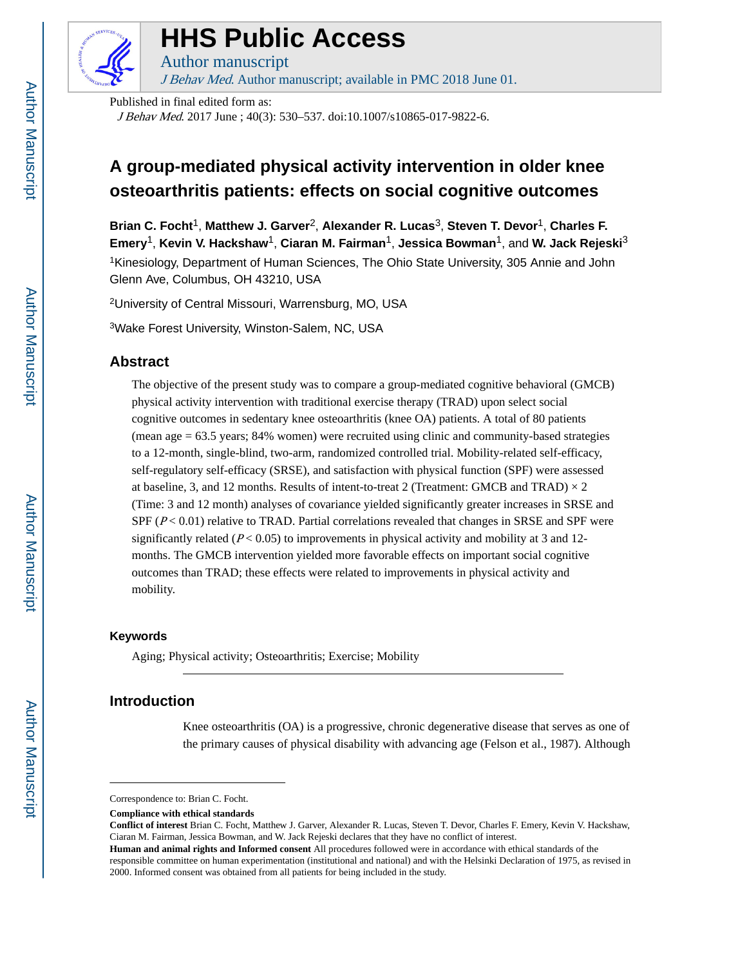

# **HHS Public Access**

Author manuscript J Behav Med. Author manuscript; available in PMC 2018 June 01.

Published in final edited form as:

J Behav Med. 2017 June ; 40(3): 530–537. doi:10.1007/s10865-017-9822-6.

# **A group-mediated physical activity intervention in older knee osteoarthritis patients: effects on social cognitive outcomes**

**Brian C. Focht**1, **Matthew J. Garver**2, **Alexander R. Lucas**3, **Steven T. Devor**1, **Charles F. Emery**1, **Kevin V. Hackshaw**1, **Ciaran M. Fairman**1, **Jessica Bowman**1, and **W. Jack Rejeski**<sup>3</sup> <sup>1</sup>Kinesiology, Department of Human Sciences, The Ohio State University, 305 Annie and John Glenn Ave, Columbus, OH 43210, USA

<sup>2</sup>University of Central Missouri, Warrensburg, MO, USA

<sup>3</sup>Wake Forest University, Winston-Salem, NC, USA

# **Abstract**

The objective of the present study was to compare a group-mediated cognitive behavioral (GMCB) physical activity intervention with traditional exercise therapy (TRAD) upon select social cognitive outcomes in sedentary knee osteoarthritis (knee OA) patients. A total of 80 patients (mean age = 63.5 years; 84% women) were recruited using clinic and community-based strategies to a 12-month, single-blind, two-arm, randomized controlled trial. Mobility-related self-efficacy, self-regulatory self-efficacy (SRSE), and satisfaction with physical function (SPF) were assessed at baseline, 3, and 12 months. Results of intent-to-treat 2 (Treatment: GMCB and TRAD)  $\times$  2 (Time: 3 and 12 month) analyses of covariance yielded significantly greater increases in SRSE and SPF  $(P < 0.01)$  relative to TRAD. Partial correlations revealed that changes in SRSE and SPF were significantly related ( $P < 0.05$ ) to improvements in physical activity and mobility at 3 and 12months. The GMCB intervention yielded more favorable effects on important social cognitive outcomes than TRAD; these effects were related to improvements in physical activity and mobility.

# **Keywords**

Aging; Physical activity; Osteoarthritis; Exercise; Mobility

# **Introduction**

Knee osteoarthritis (OA) is a progressive, chronic degenerative disease that serves as one of the primary causes of physical disability with advancing age (Felson et al., 1987). Although

Correspondence to: Brian C. Focht.

**Compliance with ethical standards**

**Conflict of interest** Brian C. Focht, Matthew J. Garver, Alexander R. Lucas, Steven T. Devor, Charles F. Emery, Kevin V. Hackshaw, Ciaran M. Fairman, Jessica Bowman, and W. Jack Rejeski declares that they have no conflict of interest.

**Human and animal rights and Informed consent** All procedures followed were in accordance with ethical standards of the responsible committee on human experimentation (institutional and national) and with the Helsinki Declaration of 1975, as revised in 2000. Informed consent was obtained from all patients for being included in the study.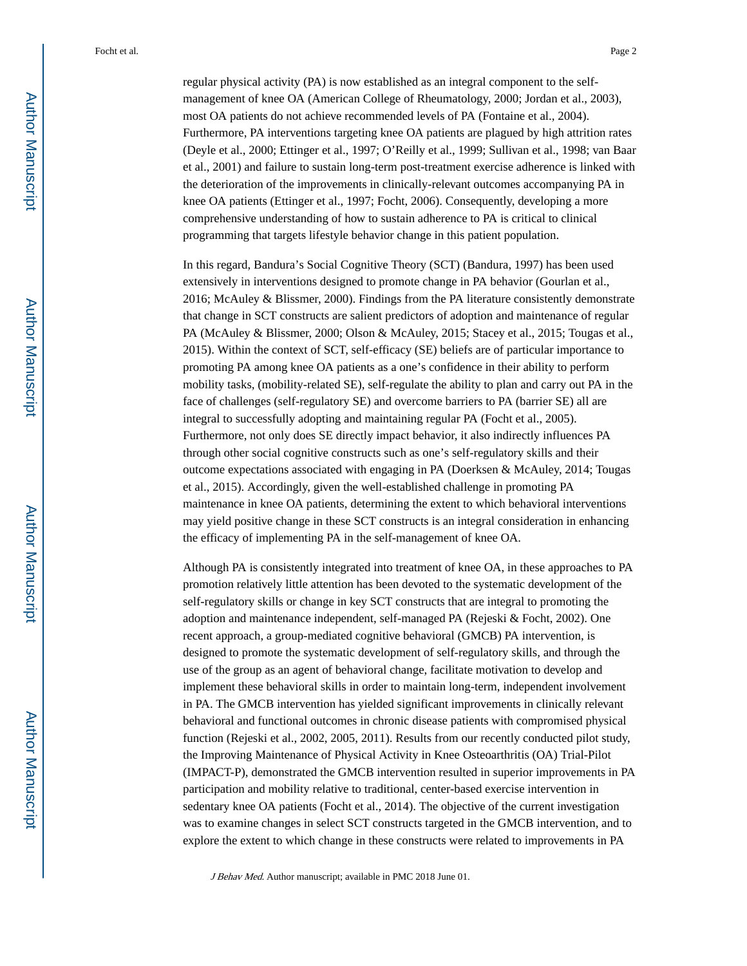regular physical activity (PA) is now established as an integral component to the selfmanagement of knee OA (American College of Rheumatology, 2000; Jordan et al., 2003), most OA patients do not achieve recommended levels of PA (Fontaine et al., 2004). Furthermore, PA interventions targeting knee OA patients are plagued by high attrition rates (Deyle et al., 2000; Ettinger et al., 1997; O'Reilly et al., 1999; Sullivan et al., 1998; van Baar et al., 2001) and failure to sustain long-term post-treatment exercise adherence is linked with the deterioration of the improvements in clinically-relevant outcomes accompanying PA in knee OA patients (Ettinger et al., 1997; Focht, 2006). Consequently, developing a more comprehensive understanding of how to sustain adherence to PA is critical to clinical programming that targets lifestyle behavior change in this patient population.

In this regard, Bandura's Social Cognitive Theory (SCT) (Bandura, 1997) has been used extensively in interventions designed to promote change in PA behavior (Gourlan et al., 2016; McAuley & Blissmer, 2000). Findings from the PA literature consistently demonstrate that change in SCT constructs are salient predictors of adoption and maintenance of regular PA (McAuley & Blissmer, 2000; Olson & McAuley, 2015; Stacey et al., 2015; Tougas et al., 2015). Within the context of SCT, self-efficacy (SE) beliefs are of particular importance to promoting PA among knee OA patients as a one's confidence in their ability to perform mobility tasks, (mobility-related SE), self-regulate the ability to plan and carry out PA in the face of challenges (self-regulatory SE) and overcome barriers to PA (barrier SE) all are integral to successfully adopting and maintaining regular PA (Focht et al., 2005). Furthermore, not only does SE directly impact behavior, it also indirectly influences PA through other social cognitive constructs such as one's self-regulatory skills and their outcome expectations associated with engaging in PA (Doerksen & McAuley, 2014; Tougas et al., 2015). Accordingly, given the well-established challenge in promoting PA maintenance in knee OA patients, determining the extent to which behavioral interventions may yield positive change in these SCT constructs is an integral consideration in enhancing the efficacy of implementing PA in the self-management of knee OA.

Although PA is consistently integrated into treatment of knee OA, in these approaches to PA promotion relatively little attention has been devoted to the systematic development of the self-regulatory skills or change in key SCT constructs that are integral to promoting the adoption and maintenance independent, self-managed PA (Rejeski & Focht, 2002). One recent approach, a group-mediated cognitive behavioral (GMCB) PA intervention, is designed to promote the systematic development of self-regulatory skills, and through the use of the group as an agent of behavioral change, facilitate motivation to develop and implement these behavioral skills in order to maintain long-term, independent involvement in PA. The GMCB intervention has yielded significant improvements in clinically relevant behavioral and functional outcomes in chronic disease patients with compromised physical function (Rejeski et al., 2002, 2005, 2011). Results from our recently conducted pilot study, the Improving Maintenance of Physical Activity in Knee Osteoarthritis (OA) Trial-Pilot (IMPACT-P), demonstrated the GMCB intervention resulted in superior improvements in PA participation and mobility relative to traditional, center-based exercise intervention in sedentary knee OA patients (Focht et al., 2014). The objective of the current investigation was to examine changes in select SCT constructs targeted in the GMCB intervention, and to explore the extent to which change in these constructs were related to improvements in PA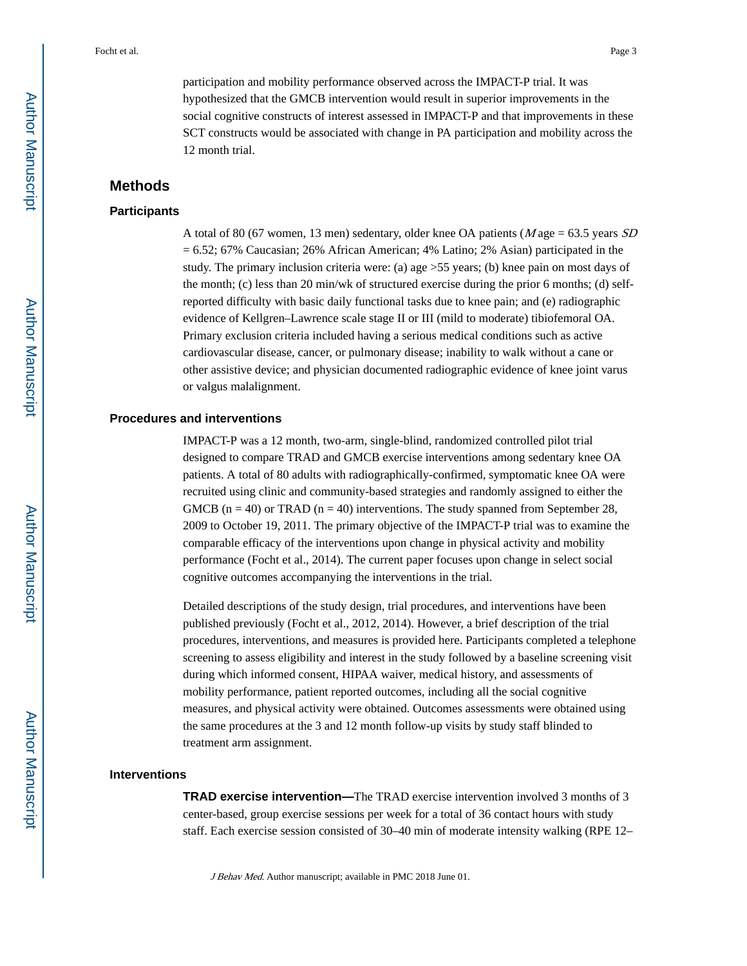participation and mobility performance observed across the IMPACT-P trial. It was hypothesized that the GMCB intervention would result in superior improvements in the social cognitive constructs of interest assessed in IMPACT-P and that improvements in these SCT constructs would be associated with change in PA participation and mobility across the 12 month trial.

# **Methods**

#### **Participants**

A total of 80 (67 women, 13 men) sedentary, older knee OA patients ( $M$  age = 63.5 years  $SD$  $= 6.52$ ; 67% Caucasian; 26% African American; 4% Latino; 2% Asian) participated in the study. The primary inclusion criteria were: (a) age >55 years; (b) knee pain on most days of the month; (c) less than 20 min/wk of structured exercise during the prior 6 months; (d) selfreported difficulty with basic daily functional tasks due to knee pain; and (e) radiographic evidence of Kellgren–Lawrence scale stage II or III (mild to moderate) tibiofemoral OA. Primary exclusion criteria included having a serious medical conditions such as active cardiovascular disease, cancer, or pulmonary disease; inability to walk without a cane or other assistive device; and physician documented radiographic evidence of knee joint varus or valgus malalignment.

#### **Procedures and interventions**

IMPACT-P was a 12 month, two-arm, single-blind, randomized controlled pilot trial designed to compare TRAD and GMCB exercise interventions among sedentary knee OA patients. A total of 80 adults with radiographically-confirmed, symptomatic knee OA were recruited using clinic and community-based strategies and randomly assigned to either the GMCB ( $n = 40$ ) or TRAD ( $n = 40$ ) interventions. The study spanned from September 28, 2009 to October 19, 2011. The primary objective of the IMPACT-P trial was to examine the comparable efficacy of the interventions upon change in physical activity and mobility performance (Focht et al., 2014). The current paper focuses upon change in select social cognitive outcomes accompanying the interventions in the trial.

Detailed descriptions of the study design, trial procedures, and interventions have been published previously (Focht et al., 2012, 2014). However, a brief description of the trial procedures, interventions, and measures is provided here. Participants completed a telephone screening to assess eligibility and interest in the study followed by a baseline screening visit during which informed consent, HIPAA waiver, medical history, and assessments of mobility performance, patient reported outcomes, including all the social cognitive measures, and physical activity were obtained. Outcomes assessments were obtained using the same procedures at the 3 and 12 month follow-up visits by study staff blinded to treatment arm assignment.

#### **Interventions**

**TRAD exercise intervention—**The TRAD exercise intervention involved 3 months of 3 center-based, group exercise sessions per week for a total of 36 contact hours with study staff. Each exercise session consisted of 30–40 min of moderate intensity walking (RPE 12–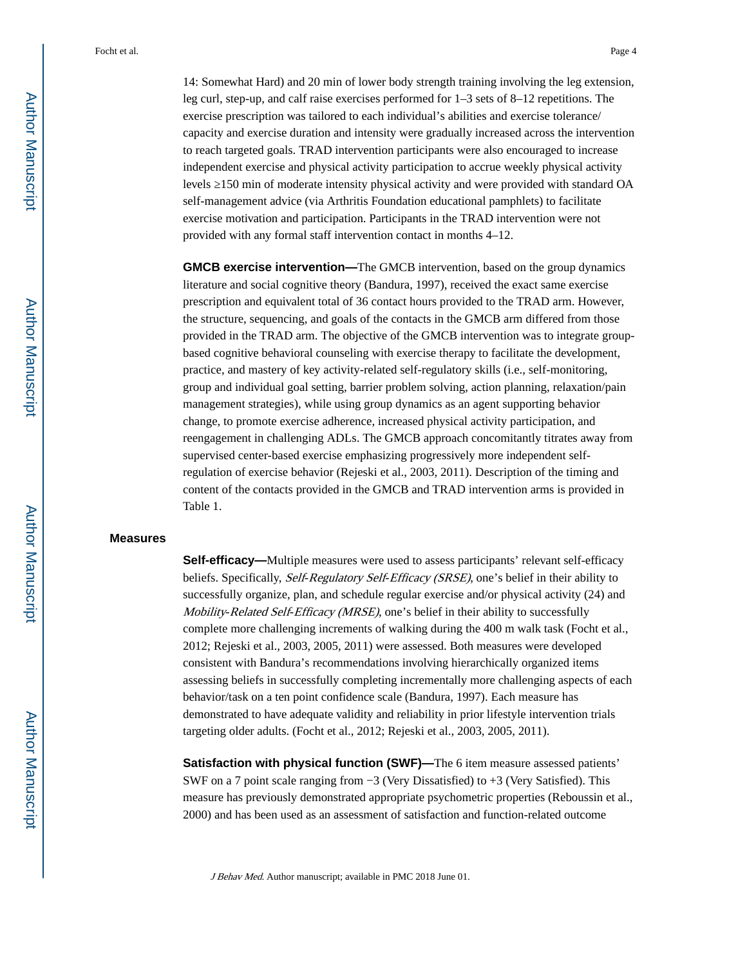14: Somewhat Hard) and 20 min of lower body strength training involving the leg extension, leg curl, step-up, and calf raise exercises performed for 1–3 sets of 8–12 repetitions. The exercise prescription was tailored to each individual's abilities and exercise tolerance/ capacity and exercise duration and intensity were gradually increased across the intervention to reach targeted goals. TRAD intervention participants were also encouraged to increase independent exercise and physical activity participation to accrue weekly physical activity levels  $150$  min of moderate intensity physical activity and were provided with standard OA self-management advice (via Arthritis Foundation educational pamphlets) to facilitate exercise motivation and participation. Participants in the TRAD intervention were not provided with any formal staff intervention contact in months 4–12.

**GMCB exercise intervention—**The GMCB intervention, based on the group dynamics literature and social cognitive theory (Bandura, 1997), received the exact same exercise prescription and equivalent total of 36 contact hours provided to the TRAD arm. However, the structure, sequencing, and goals of the contacts in the GMCB arm differed from those provided in the TRAD arm. The objective of the GMCB intervention was to integrate groupbased cognitive behavioral counseling with exercise therapy to facilitate the development, practice, and mastery of key activity-related self-regulatory skills (i.e., self-monitoring, group and individual goal setting, barrier problem solving, action planning, relaxation/pain management strategies), while using group dynamics as an agent supporting behavior change, to promote exercise adherence, increased physical activity participation, and reengagement in challenging ADLs. The GMCB approach concomitantly titrates away from supervised center-based exercise emphasizing progressively more independent selfregulation of exercise behavior (Rejeski et al., 2003, 2011). Description of the timing and content of the contacts provided in the GMCB and TRAD intervention arms is provided in Table 1.

#### **Measures**

**Self-efficacy—**Multiple measures were used to assess participants' relevant self-efficacy beliefs. Specifically, Self-Regulatory Self-Efficacy (SRSE), one's belief in their ability to successfully organize, plan, and schedule regular exercise and/or physical activity (24) and Mobility-Related Self-Efficacy (MRSE), one's belief in their ability to successfully complete more challenging increments of walking during the 400 m walk task (Focht et al., 2012; Rejeski et al., 2003, 2005, 2011) were assessed. Both measures were developed consistent with Bandura's recommendations involving hierarchically organized items assessing beliefs in successfully completing incrementally more challenging aspects of each behavior/task on a ten point confidence scale (Bandura, 1997). Each measure has demonstrated to have adequate validity and reliability in prior lifestyle intervention trials targeting older adults. (Focht et al., 2012; Rejeski et al., 2003, 2005, 2011).

**Satisfaction with physical function (SWF)—The 6 item measure assessed patients'** SWF on a 7 point scale ranging from −3 (Very Dissatisfied) to +3 (Very Satisfied). This measure has previously demonstrated appropriate psychometric properties (Reboussin et al., 2000) and has been used as an assessment of satisfaction and function-related outcome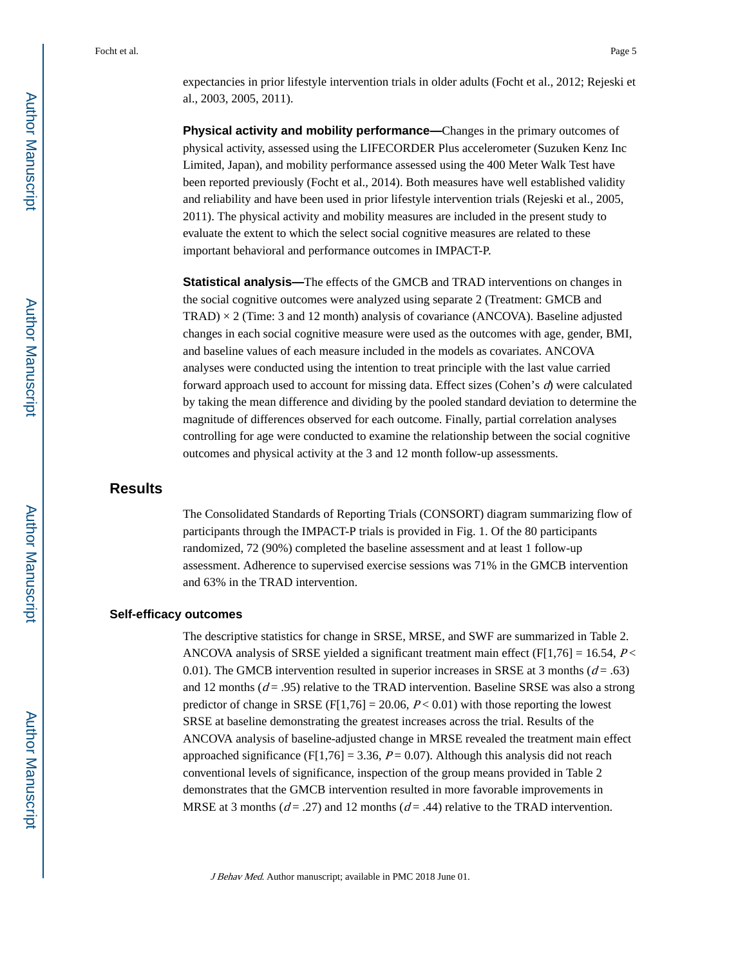expectancies in prior lifestyle intervention trials in older adults (Focht et al., 2012; Rejeski et al., 2003, 2005, 2011).

**Physical activity and mobility performance—**Changes in the primary outcomes of physical activity, assessed using the LIFECORDER Plus accelerometer (Suzuken Kenz Inc Limited, Japan), and mobility performance assessed using the 400 Meter Walk Test have been reported previously (Focht et al., 2014). Both measures have well established validity and reliability and have been used in prior lifestyle intervention trials (Rejeski et al., 2005, 2011). The physical activity and mobility measures are included in the present study to evaluate the extent to which the select social cognitive measures are related to these important behavioral and performance outcomes in IMPACT-P.

**Statistical analysis—**The effects of the GMCB and TRAD interventions on changes in the social cognitive outcomes were analyzed using separate 2 (Treatment: GMCB and  $TRAD$   $\times$  2 (Time: 3 and 12 month) analysis of covariance (ANCOVA). Baseline adjusted changes in each social cognitive measure were used as the outcomes with age, gender, BMI, and baseline values of each measure included in the models as covariates. ANCOVA analyses were conducted using the intention to treat principle with the last value carried forward approach used to account for missing data. Effect sizes (Cohen's  $d$ ) were calculated by taking the mean difference and dividing by the pooled standard deviation to determine the magnitude of differences observed for each outcome. Finally, partial correlation analyses controlling for age were conducted to examine the relationship between the social cognitive outcomes and physical activity at the 3 and 12 month follow-up assessments.

# **Results**

The Consolidated Standards of Reporting Trials (CONSORT) diagram summarizing flow of participants through the IMPACT-P trials is provided in Fig. 1. Of the 80 participants randomized, 72 (90%) completed the baseline assessment and at least 1 follow-up assessment. Adherence to supervised exercise sessions was 71% in the GMCB intervention and 63% in the TRAD intervention.

#### **Self-efficacy outcomes**

The descriptive statistics for change in SRSE, MRSE, and SWF are summarized in Table 2. ANCOVA analysis of SRSE yielded a significant treatment main effect (F[1,76] = 16.54,  $P$  < 0.01). The GMCB intervention resulted in superior increases in SRSE at 3 months ( $d = .63$ ) and 12 months ( $d = .95$ ) relative to the TRAD intervention. Baseline SRSE was also a strong predictor of change in SRSE  $(F[1,76] = 20.06, P < 0.01)$  with those reporting the lowest SRSE at baseline demonstrating the greatest increases across the trial. Results of the ANCOVA analysis of baseline-adjusted change in MRSE revealed the treatment main effect approached significance (F[1,76] = 3.36,  $P = 0.07$ ). Although this analysis did not reach conventional levels of significance, inspection of the group means provided in Table 2 demonstrates that the GMCB intervention resulted in more favorable improvements in MRSE at 3 months ( $d = .27$ ) and 12 months ( $d = .44$ ) relative to the TRAD intervention.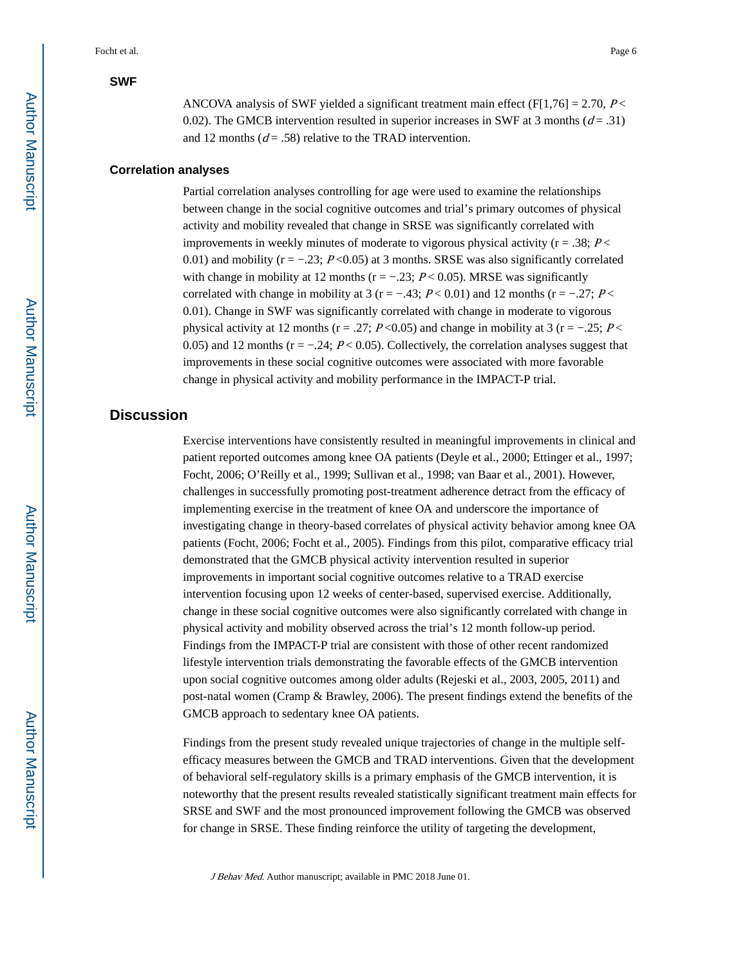#### **SWF**

#### **Correlation analyses**

Partial correlation analyses controlling for age were used to examine the relationships between change in the social cognitive outcomes and trial's primary outcomes of physical activity and mobility revealed that change in SRSE was significantly correlated with improvements in weekly minutes of moderate to vigorous physical activity ( $r = .38$ ;  $P \le$ 0.01) and mobility ( $r = -0.23$ ;  $P < 0.05$ ) at 3 months. SRSE was also significantly correlated with change in mobility at 12 months ( $r = -0.23$ ;  $P < 0.05$ ). MRSE was significantly correlated with change in mobility at 3 (r = −.43;  $P < 0.01$ ) and 12 months (r = −.27;  $P <$ 0.01). Change in SWF was significantly correlated with change in moderate to vigorous physical activity at 12 months ( $r = .27$ ;  $P < 0.05$ ) and change in mobility at 3 ( $r = -.25$ ;  $P <$ 0.05) and 12 months ( $r = -0.24$ ;  $P < 0.05$ ). Collectively, the correlation analyses suggest that improvements in these social cognitive outcomes were associated with more favorable change in physical activity and mobility performance in the IMPACT-P trial.

# **Discussion**

Exercise interventions have consistently resulted in meaningful improvements in clinical and patient reported outcomes among knee OA patients (Deyle et al., 2000; Ettinger et al., 1997; Focht, 2006; O'Reilly et al., 1999; Sullivan et al., 1998; van Baar et al., 2001). However, challenges in successfully promoting post-treatment adherence detract from the efficacy of implementing exercise in the treatment of knee OA and underscore the importance of investigating change in theory-based correlates of physical activity behavior among knee OA patients (Focht, 2006; Focht et al., 2005). Findings from this pilot, comparative efficacy trial demonstrated that the GMCB physical activity intervention resulted in superior improvements in important social cognitive outcomes relative to a TRAD exercise intervention focusing upon 12 weeks of center-based, supervised exercise. Additionally, change in these social cognitive outcomes were also significantly correlated with change in physical activity and mobility observed across the trial's 12 month follow-up period. Findings from the IMPACT-P trial are consistent with those of other recent randomized lifestyle intervention trials demonstrating the favorable effects of the GMCB intervention upon social cognitive outcomes among older adults (Rejeski et al., 2003, 2005, 2011) and post-natal women (Cramp & Brawley, 2006). The present findings extend the benefits of the GMCB approach to sedentary knee OA patients.

Findings from the present study revealed unique trajectories of change in the multiple selfefficacy measures between the GMCB and TRAD interventions. Given that the development of behavioral self-regulatory skills is a primary emphasis of the GMCB intervention, it is noteworthy that the present results revealed statistically significant treatment main effects for SRSE and SWF and the most pronounced improvement following the GMCB was observed for change in SRSE. These finding reinforce the utility of targeting the development,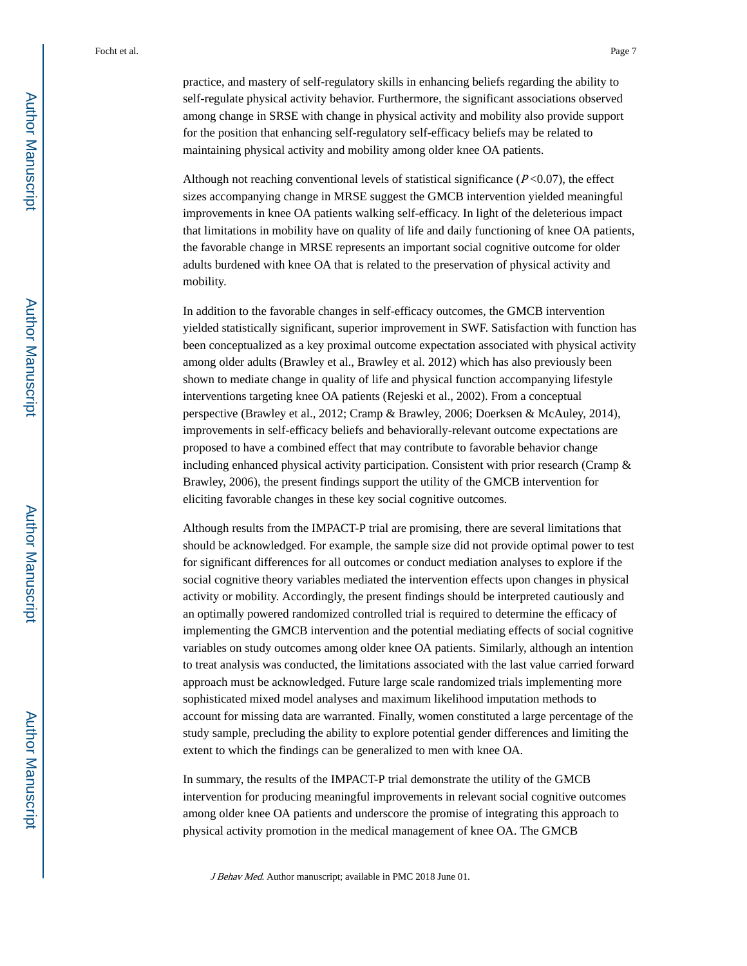practice, and mastery of self-regulatory skills in enhancing beliefs regarding the ability to self-regulate physical activity behavior. Furthermore, the significant associations observed among change in SRSE with change in physical activity and mobility also provide support for the position that enhancing self-regulatory self-efficacy beliefs may be related to maintaining physical activity and mobility among older knee OA patients.

Although not reaching conventional levels of statistical significance  $(P<0.07)$ , the effect sizes accompanying change in MRSE suggest the GMCB intervention yielded meaningful improvements in knee OA patients walking self-efficacy. In light of the deleterious impact that limitations in mobility have on quality of life and daily functioning of knee OA patients, the favorable change in MRSE represents an important social cognitive outcome for older adults burdened with knee OA that is related to the preservation of physical activity and mobility.

In addition to the favorable changes in self-efficacy outcomes, the GMCB intervention yielded statistically significant, superior improvement in SWF. Satisfaction with function has been conceptualized as a key proximal outcome expectation associated with physical activity among older adults (Brawley et al., Brawley et al. 2012) which has also previously been shown to mediate change in quality of life and physical function accompanying lifestyle interventions targeting knee OA patients (Rejeski et al., 2002). From a conceptual perspective (Brawley et al., 2012; Cramp & Brawley, 2006; Doerksen & McAuley, 2014), improvements in self-efficacy beliefs and behaviorally-relevant outcome expectations are proposed to have a combined effect that may contribute to favorable behavior change including enhanced physical activity participation. Consistent with prior research (Cramp & Brawley, 2006), the present findings support the utility of the GMCB intervention for eliciting favorable changes in these key social cognitive outcomes.

Although results from the IMPACT-P trial are promising, there are several limitations that should be acknowledged. For example, the sample size did not provide optimal power to test for significant differences for all outcomes or conduct mediation analyses to explore if the social cognitive theory variables mediated the intervention effects upon changes in physical activity or mobility. Accordingly, the present findings should be interpreted cautiously and an optimally powered randomized controlled trial is required to determine the efficacy of implementing the GMCB intervention and the potential mediating effects of social cognitive variables on study outcomes among older knee OA patients. Similarly, although an intention to treat analysis was conducted, the limitations associated with the last value carried forward approach must be acknowledged. Future large scale randomized trials implementing more sophisticated mixed model analyses and maximum likelihood imputation methods to account for missing data are warranted. Finally, women constituted a large percentage of the study sample, precluding the ability to explore potential gender differences and limiting the extent to which the findings can be generalized to men with knee OA.

In summary, the results of the IMPACT-P trial demonstrate the utility of the GMCB intervention for producing meaningful improvements in relevant social cognitive outcomes among older knee OA patients and underscore the promise of integrating this approach to physical activity promotion in the medical management of knee OA. The GMCB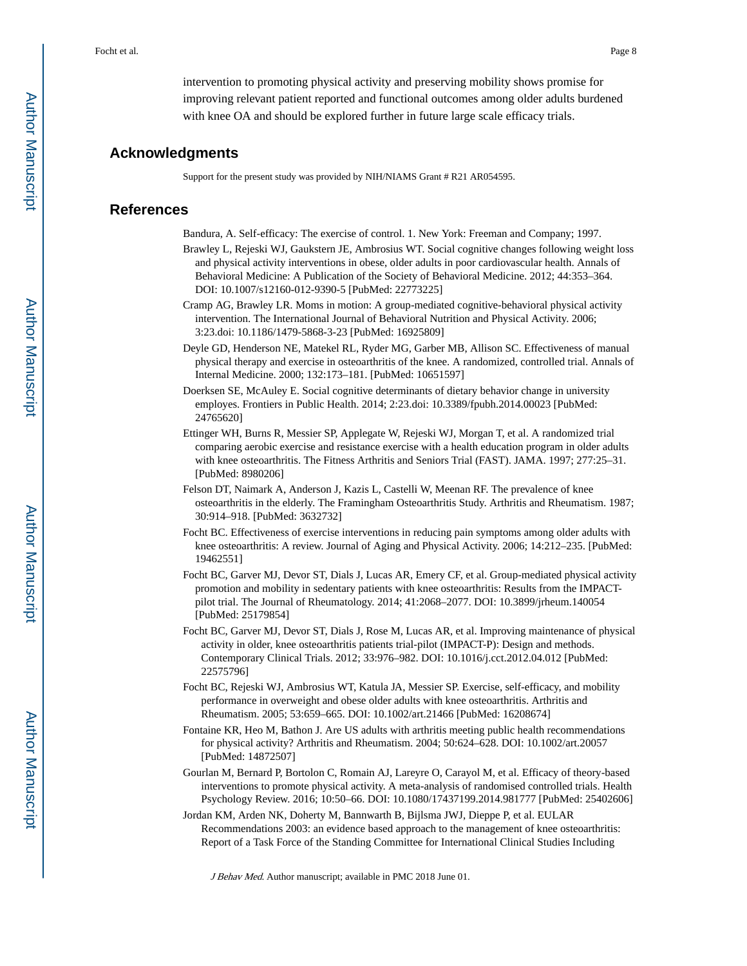intervention to promoting physical activity and preserving mobility shows promise for improving relevant patient reported and functional outcomes among older adults burdened with knee OA and should be explored further in future large scale efficacy trials.

#### **Acknowledgments**

Support for the present study was provided by NIH/NIAMS Grant # R21 AR054595.

#### **References**

Bandura, A. Self-efficacy: The exercise of control. 1. New York: Freeman and Company; 1997.

- Brawley L, Rejeski WJ, Gaukstern JE, Ambrosius WT. Social cognitive changes following weight loss and physical activity interventions in obese, older adults in poor cardiovascular health. Annals of Behavioral Medicine: A Publication of the Society of Behavioral Medicine. 2012; 44:353–364. DOI: 10.1007/s12160-012-9390-5 [PubMed: 22773225]
- Cramp AG, Brawley LR. Moms in motion: A group-mediated cognitive-behavioral physical activity intervention. The International Journal of Behavioral Nutrition and Physical Activity. 2006; 3:23.doi: 10.1186/1479-5868-3-23 [PubMed: 16925809]
- Deyle GD, Henderson NE, Matekel RL, Ryder MG, Garber MB, Allison SC. Effectiveness of manual physical therapy and exercise in osteoarthritis of the knee. A randomized, controlled trial. Annals of Internal Medicine. 2000; 132:173–181. [PubMed: 10651597]
- Doerksen SE, McAuley E. Social cognitive determinants of dietary behavior change in university employes. Frontiers in Public Health. 2014; 2:23.doi: 10.3389/fpubh.2014.00023 [PubMed: 24765620]
- Ettinger WH, Burns R, Messier SP, Applegate W, Rejeski WJ, Morgan T, et al. A randomized trial comparing aerobic exercise and resistance exercise with a health education program in older adults with knee osteoarthritis. The Fitness Arthritis and Seniors Trial (FAST). JAMA. 1997; 277:25–31. [PubMed: 8980206]
- Felson DT, Naimark A, Anderson J, Kazis L, Castelli W, Meenan RF. The prevalence of knee osteoarthritis in the elderly. The Framingham Osteoarthritis Study. Arthritis and Rheumatism. 1987; 30:914–918. [PubMed: 3632732]
- Focht BC. Effectiveness of exercise interventions in reducing pain symptoms among older adults with knee osteoarthritis: A review. Journal of Aging and Physical Activity. 2006; 14:212–235. [PubMed: 19462551]
- Focht BC, Garver MJ, Devor ST, Dials J, Lucas AR, Emery CF, et al. Group-mediated physical activity promotion and mobility in sedentary patients with knee osteoarthritis: Results from the IMPACTpilot trial. The Journal of Rheumatology. 2014; 41:2068–2077. DOI: 10.3899/jrheum.140054 [PubMed: 25179854]
- Focht BC, Garver MJ, Devor ST, Dials J, Rose M, Lucas AR, et al. Improving maintenance of physical activity in older, knee osteoarthritis patients trial-pilot (IMPACT-P): Design and methods. Contemporary Clinical Trials. 2012; 33:976–982. DOI: 10.1016/j.cct.2012.04.012 [PubMed: 22575796]
- Focht BC, Rejeski WJ, Ambrosius WT, Katula JA, Messier SP. Exercise, self-efficacy, and mobility performance in overweight and obese older adults with knee osteoarthritis. Arthritis and Rheumatism. 2005; 53:659–665. DOI: 10.1002/art.21466 [PubMed: 16208674]
- Fontaine KR, Heo M, Bathon J. Are US adults with arthritis meeting public health recommendations for physical activity? Arthritis and Rheumatism. 2004; 50:624–628. DOI: 10.1002/art.20057 [PubMed: 14872507]
- Gourlan M, Bernard P, Bortolon C, Romain AJ, Lareyre O, Carayol M, et al. Efficacy of theory-based interventions to promote physical activity. A meta-analysis of randomised controlled trials. Health Psychology Review. 2016; 10:50–66. DOI: 10.1080/17437199.2014.981777 [PubMed: 25402606]
- Jordan KM, Arden NK, Doherty M, Bannwarth B, Bijlsma JWJ, Dieppe P, et al. EULAR Recommendations 2003: an evidence based approach to the management of knee osteoarthritis: Report of a Task Force of the Standing Committee for International Clinical Studies Including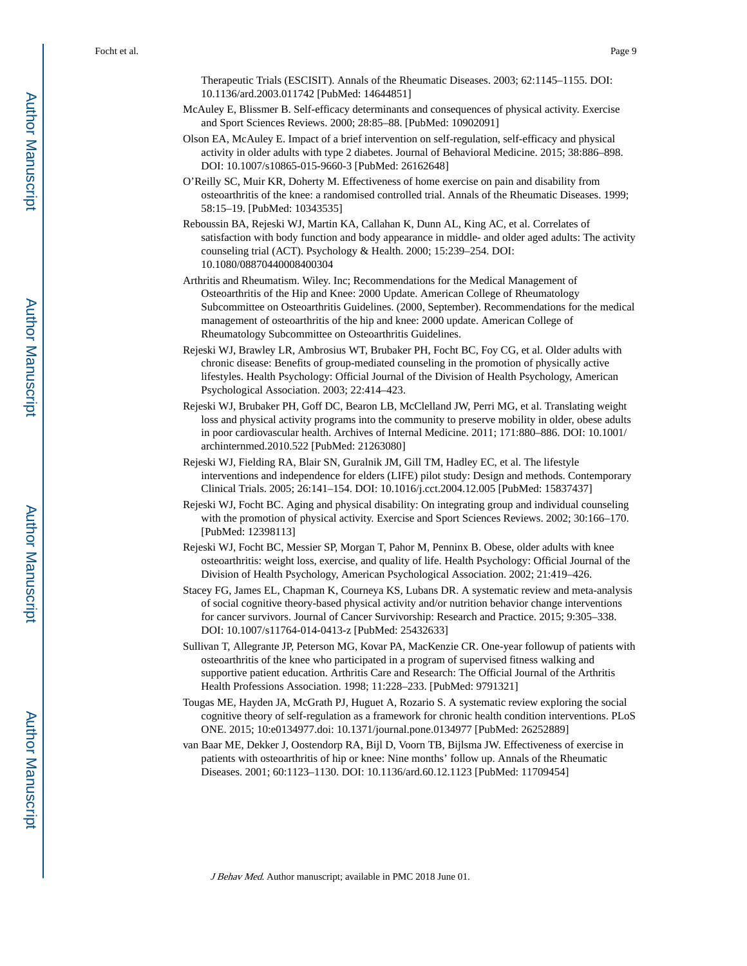Therapeutic Trials (ESCISIT). Annals of the Rheumatic Diseases. 2003; 62:1145–1155. DOI: 10.1136/ard.2003.011742 [PubMed: 14644851]

- McAuley E, Blissmer B. Self-efficacy determinants and consequences of physical activity. Exercise and Sport Sciences Reviews. 2000; 28:85–88. [PubMed: 10902091]
- Olson EA, McAuley E. Impact of a brief intervention on self-regulation, self-efficacy and physical activity in older adults with type 2 diabetes. Journal of Behavioral Medicine. 2015; 38:886–898. DOI: 10.1007/s10865-015-9660-3 [PubMed: 26162648]
- O'Reilly SC, Muir KR, Doherty M. Effectiveness of home exercise on pain and disability from osteoarthritis of the knee: a randomised controlled trial. Annals of the Rheumatic Diseases. 1999; 58:15–19. [PubMed: 10343535]
- Reboussin BA, Rejeski WJ, Martin KA, Callahan K, Dunn AL, King AC, et al. Correlates of satisfaction with body function and body appearance in middle- and older aged adults: The activity counseling trial (ACT). Psychology & Health. 2000; 15:239–254. DOI: 10.1080/08870440008400304
- Arthritis and Rheumatism. Wiley. Inc; Recommendations for the Medical Management of Osteoarthritis of the Hip and Knee: 2000 Update. American College of Rheumatology Subcommittee on Osteoarthritis Guidelines. (2000, September). Recommendations for the medical management of osteoarthritis of the hip and knee: 2000 update. American College of Rheumatology Subcommittee on Osteoarthritis Guidelines.
- Rejeski WJ, Brawley LR, Ambrosius WT, Brubaker PH, Focht BC, Foy CG, et al. Older adults with chronic disease: Benefits of group-mediated counseling in the promotion of physically active lifestyles. Health Psychology: Official Journal of the Division of Health Psychology, American Psychological Association. 2003; 22:414–423.
- Rejeski WJ, Brubaker PH, Goff DC, Bearon LB, McClelland JW, Perri MG, et al. Translating weight loss and physical activity programs into the community to preserve mobility in older, obese adults in poor cardiovascular health. Archives of Internal Medicine. 2011; 171:880–886. DOI: 10.1001/ archinternmed.2010.522 [PubMed: 21263080]
- Rejeski WJ, Fielding RA, Blair SN, Guralnik JM, Gill TM, Hadley EC, et al. The lifestyle interventions and independence for elders (LIFE) pilot study: Design and methods. Contemporary Clinical Trials. 2005; 26:141–154. DOI: 10.1016/j.cct.2004.12.005 [PubMed: 15837437]
- Rejeski WJ, Focht BC. Aging and physical disability: On integrating group and individual counseling with the promotion of physical activity. Exercise and Sport Sciences Reviews. 2002; 30:166–170. [PubMed: 12398113]
- Rejeski WJ, Focht BC, Messier SP, Morgan T, Pahor M, Penninx B. Obese, older adults with knee osteoarthritis: weight loss, exercise, and quality of life. Health Psychology: Official Journal of the Division of Health Psychology, American Psychological Association. 2002; 21:419–426.
- Stacey FG, James EL, Chapman K, Courneya KS, Lubans DR. A systematic review and meta-analysis of social cognitive theory-based physical activity and/or nutrition behavior change interventions for cancer survivors. Journal of Cancer Survivorship: Research and Practice. 2015; 9:305–338. DOI: 10.1007/s11764-014-0413-z [PubMed: 25432633]
- Sullivan T, Allegrante JP, Peterson MG, Kovar PA, MacKenzie CR. One-year followup of patients with osteoarthritis of the knee who participated in a program of supervised fitness walking and supportive patient education. Arthritis Care and Research: The Official Journal of the Arthritis Health Professions Association. 1998; 11:228–233. [PubMed: 9791321]
- Tougas ME, Hayden JA, McGrath PJ, Huguet A, Rozario S. A systematic review exploring the social cognitive theory of self-regulation as a framework for chronic health condition interventions. PLoS ONE. 2015; 10:e0134977.doi: 10.1371/journal.pone.0134977 [PubMed: 26252889]
- van Baar ME, Dekker J, Oostendorp RA, Bijl D, Voorn TB, Bijlsma JW. Effectiveness of exercise in patients with osteoarthritis of hip or knee: Nine months' follow up. Annals of the Rheumatic Diseases. 2001; 60:1123–1130. DOI: 10.1136/ard.60.12.1123 [PubMed: 11709454]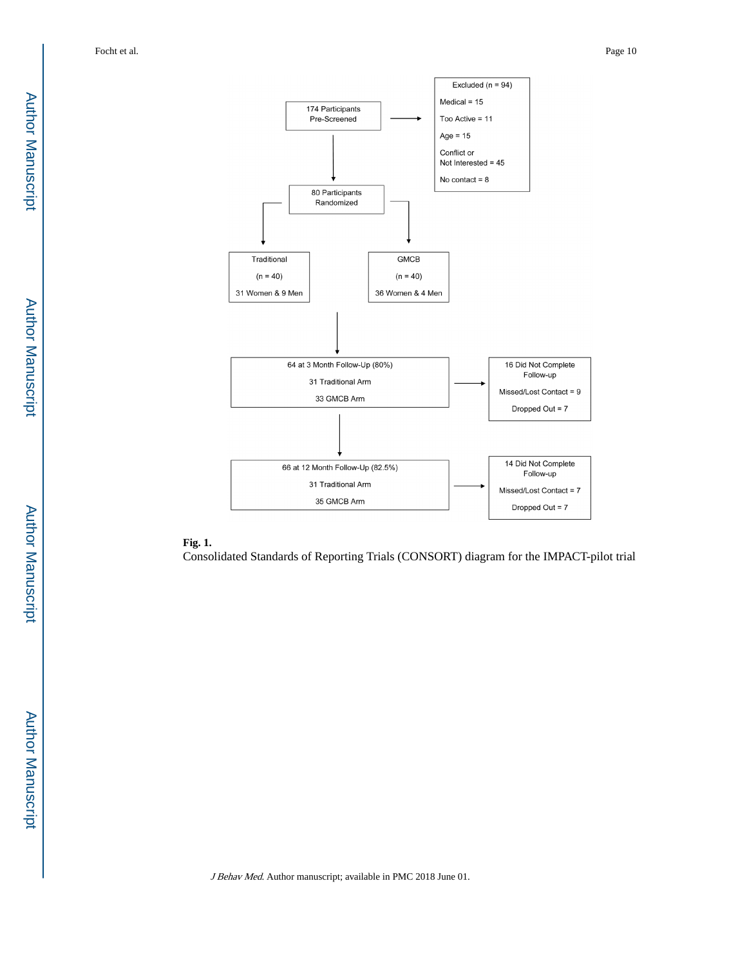

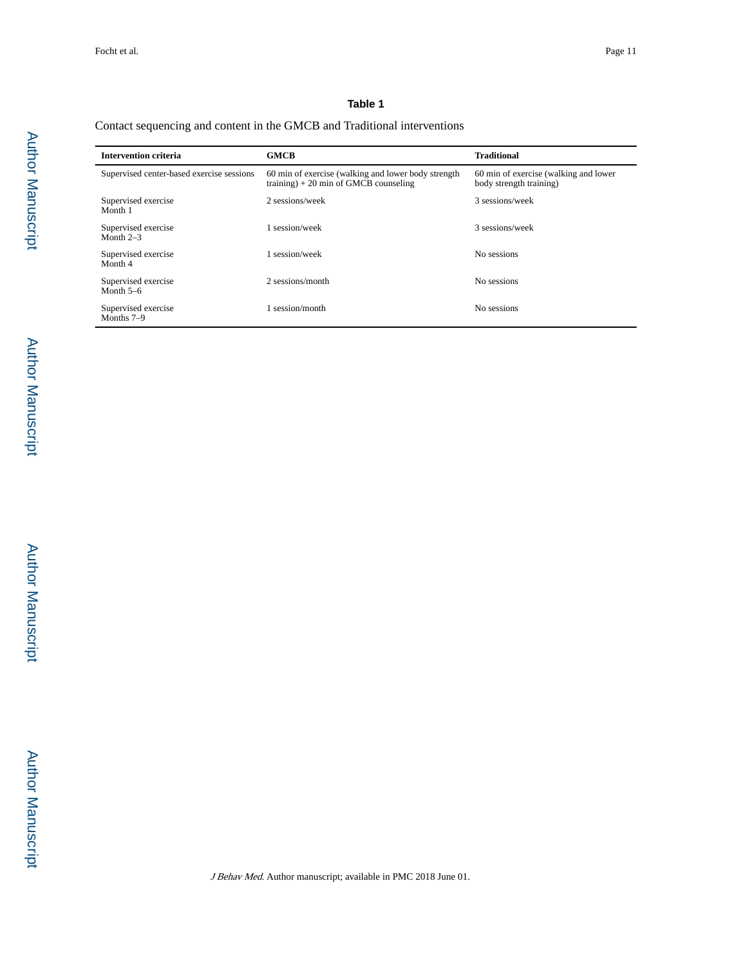# **Table 1**

# Contact sequencing and content in the GMCB and Traditional interventions

| <b>Intervention criteria</b>              | <b>GMCB</b>                                                                                   | <b>Traditional</b>                                               |
|-------------------------------------------|-----------------------------------------------------------------------------------------------|------------------------------------------------------------------|
| Supervised center-based exercise sessions | 60 min of exercise (walking and lower body strength<br>training) $+20$ min of GMCB counseling | 60 min of exercise (walking and lower<br>body strength training) |
| Supervised exercise<br>Month 1            | 2 sessions/week                                                                               | 3 sessions/week                                                  |
| Supervised exercise<br>Month $2-3$        | 1 session/week                                                                                | 3 sessions/week                                                  |
| Supervised exercise<br>Month 4            | 1 session/week                                                                                | No sessions                                                      |
| Supervised exercise<br>Month $5-6$        | 2 sessions/month                                                                              | No sessions                                                      |
| Supervised exercise<br>Months 7-9         | session/month                                                                                 | No sessions                                                      |